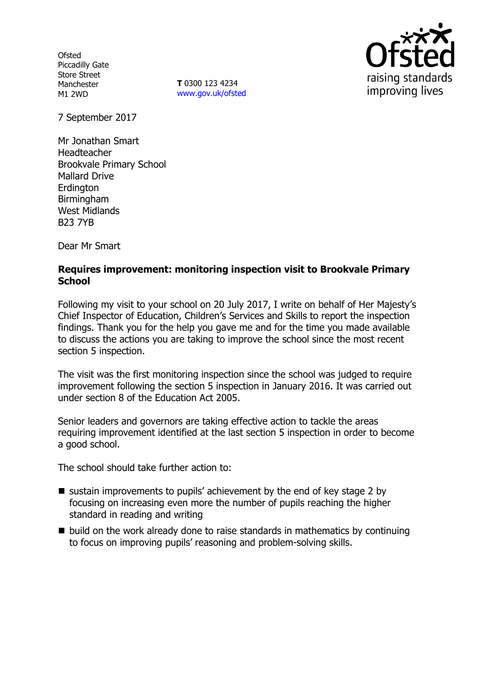**Ofsted** Piccadilly Gate Store Street Manchester M1 2WD

**T** 0300 123 4234 www.gov.uk/ofsted



7 September 2017

Mr Jonathan Smart Headteacher Brookvale Primary School Mallard Drive **Erdington** Birmingham West Midlands B23 7YB

Dear Mr Smart

### **Requires improvement: monitoring inspection visit to Brookvale Primary School**

Following my visit to your school on 20 July 2017, I write on behalf of Her Majesty's Chief Inspector of Education, Children's Services and Skills to report the inspection findings. Thank you for the help you gave me and for the time you made available to discuss the actions you are taking to improve the school since the most recent section 5 inspection.

The visit was the first monitoring inspection since the school was judged to require improvement following the section 5 inspection in January 2016. It was carried out under section 8 of the Education Act 2005.

Senior leaders and governors are taking effective action to tackle the areas requiring improvement identified at the last section 5 inspection in order to become a good school.

The school should take further action to:

- $\blacksquare$  sustain improvements to pupils' achievement by the end of key stage 2 by focusing on increasing even more the number of pupils reaching the higher standard in reading and writing
- $\blacksquare$  build on the work already done to raise standards in mathematics by continuing to focus on improving pupils' reasoning and problem-solving skills.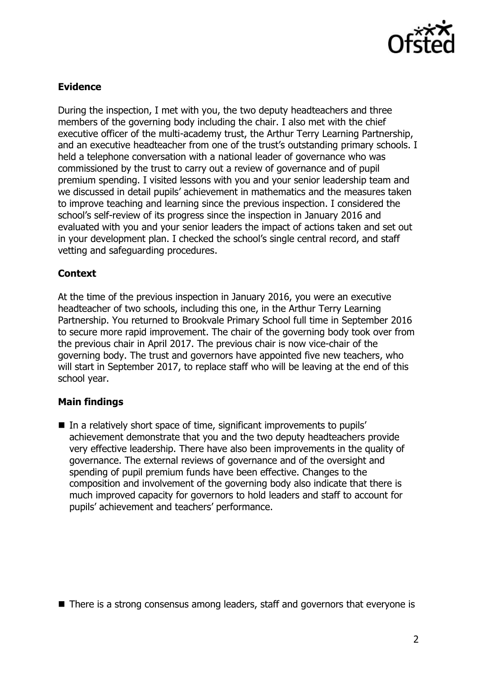

## **Evidence**

During the inspection, I met with you, the two deputy headteachers and three members of the governing body including the chair. I also met with the chief executive officer of the multi-academy trust, the Arthur Terry Learning Partnership, and an executive headteacher from one of the trust's outstanding primary schools. I held a telephone conversation with a national leader of governance who was commissioned by the trust to carry out a review of governance and of pupil premium spending. I visited lessons with you and your senior leadership team and we discussed in detail pupils' achievement in mathematics and the measures taken to improve teaching and learning since the previous inspection. I considered the school's self-review of its progress since the inspection in January 2016 and evaluated with you and your senior leaders the impact of actions taken and set out in your development plan. I checked the school's single central record, and staff vetting and safeguarding procedures.

### **Context**

At the time of the previous inspection in January 2016, you were an executive headteacher of two schools, including this one, in the Arthur Terry Learning Partnership. You returned to Brookvale Primary School full time in September 2016 to secure more rapid improvement. The chair of the governing body took over from the previous chair in April 2017. The previous chair is now vice-chair of the governing body. The trust and governors have appointed five new teachers, who will start in September 2017, to replace staff who will be leaving at the end of this school year.

### **Main findings**

In a relatively short space of time, significant improvements to pupils' achievement demonstrate that you and the two deputy headteachers provide very effective leadership. There have also been improvements in the quality of governance. The external reviews of governance and of the oversight and spending of pupil premium funds have been effective. Changes to the composition and involvement of the governing body also indicate that there is much improved capacity for governors to hold leaders and staff to account for pupils' achievement and teachers' performance.

■ There is a strong consensus among leaders, staff and governors that everyone is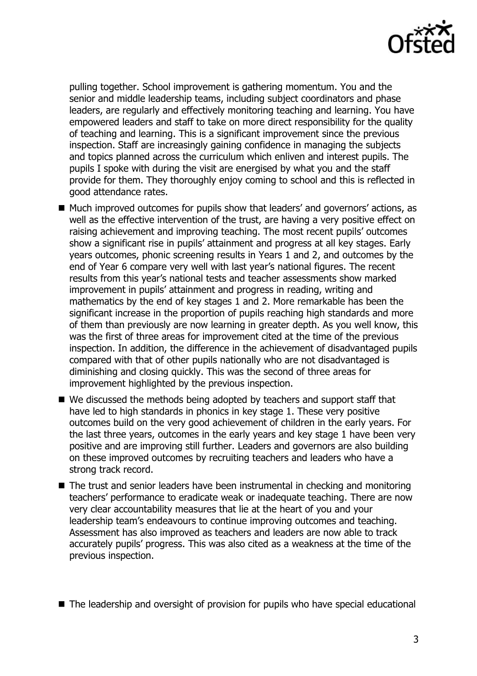

pulling together. School improvement is gathering momentum. You and the senior and middle leadership teams, including subject coordinators and phase leaders, are regularly and effectively monitoring teaching and learning. You have empowered leaders and staff to take on more direct responsibility for the quality of teaching and learning. This is a significant improvement since the previous inspection. Staff are increasingly gaining confidence in managing the subjects and topics planned across the curriculum which enliven and interest pupils. The pupils I spoke with during the visit are energised by what you and the staff provide for them. They thoroughly enjoy coming to school and this is reflected in good attendance rates.

- Much improved outcomes for pupils show that leaders' and governors' actions, as well as the effective intervention of the trust, are having a very positive effect on raising achievement and improving teaching. The most recent pupils' outcomes show a significant rise in pupils' attainment and progress at all key stages. Early years outcomes, phonic screening results in Years 1 and 2, and outcomes by the end of Year 6 compare very well with last year's national figures. The recent results from this year's national tests and teacher assessments show marked improvement in pupils' attainment and progress in reading, writing and mathematics by the end of key stages 1 and 2. More remarkable has been the significant increase in the proportion of pupils reaching high standards and more of them than previously are now learning in greater depth. As you well know, this was the first of three areas for improvement cited at the time of the previous inspection. In addition, the difference in the achievement of disadvantaged pupils compared with that of other pupils nationally who are not disadvantaged is diminishing and closing quickly. This was the second of three areas for improvement highlighted by the previous inspection.
- We discussed the methods being adopted by teachers and support staff that have led to high standards in phonics in key stage 1. These very positive outcomes build on the very good achievement of children in the early years. For the last three years, outcomes in the early years and key stage 1 have been very positive and are improving still further. Leaders and governors are also building on these improved outcomes by recruiting teachers and leaders who have a strong track record.
- The trust and senior leaders have been instrumental in checking and monitoring teachers' performance to eradicate weak or inadequate teaching. There are now very clear accountability measures that lie at the heart of you and your leadership team's endeavours to continue improving outcomes and teaching. Assessment has also improved as teachers and leaders are now able to track accurately pupils' progress. This was also cited as a weakness at the time of the previous inspection.

■ The leadership and oversight of provision for pupils who have special educational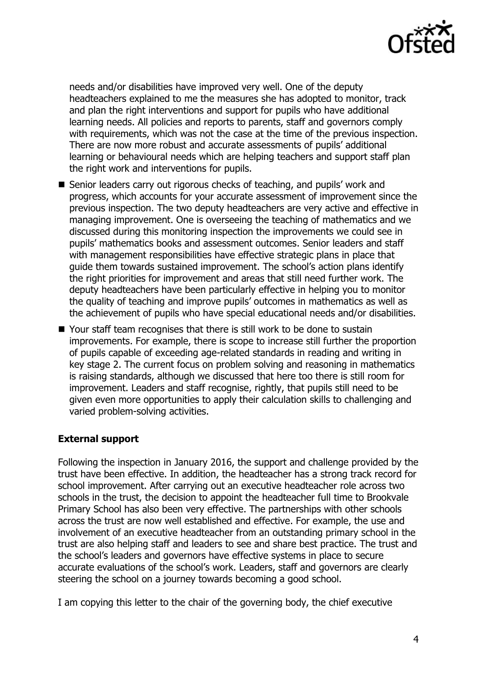

needs and/or disabilities have improved very well. One of the deputy headteachers explained to me the measures she has adopted to monitor, track and plan the right interventions and support for pupils who have additional learning needs. All policies and reports to parents, staff and governors comply with requirements, which was not the case at the time of the previous inspection. There are now more robust and accurate assessments of pupils' additional learning or behavioural needs which are helping teachers and support staff plan the right work and interventions for pupils.

- Senior leaders carry out rigorous checks of teaching, and pupils' work and progress, which accounts for your accurate assessment of improvement since the previous inspection. The two deputy headteachers are very active and effective in managing improvement. One is overseeing the teaching of mathematics and we discussed during this monitoring inspection the improvements we could see in pupils' mathematics books and assessment outcomes. Senior leaders and staff with management responsibilities have effective strategic plans in place that guide them towards sustained improvement. The school's action plans identify the right priorities for improvement and areas that still need further work. The deputy headteachers have been particularly effective in helping you to monitor the quality of teaching and improve pupils' outcomes in mathematics as well as the achievement of pupils who have special educational needs and/or disabilities.
- Your staff team recognises that there is still work to be done to sustain improvements. For example, there is scope to increase still further the proportion of pupils capable of exceeding age-related standards in reading and writing in key stage 2. The current focus on problem solving and reasoning in mathematics is raising standards, although we discussed that here too there is still room for improvement. Leaders and staff recognise, rightly, that pupils still need to be given even more opportunities to apply their calculation skills to challenging and varied problem-solving activities.

# **External support**

Following the inspection in January 2016, the support and challenge provided by the trust have been effective. In addition, the headteacher has a strong track record for school improvement. After carrying out an executive headteacher role across two schools in the trust, the decision to appoint the headteacher full time to Brookvale Primary School has also been very effective. The partnerships with other schools across the trust are now well established and effective. For example, the use and involvement of an executive headteacher from an outstanding primary school in the trust are also helping staff and leaders to see and share best practice. The trust and the school's leaders and governors have effective systems in place to secure accurate evaluations of the school's work. Leaders, staff and governors are clearly steering the school on a journey towards becoming a good school.

I am copying this letter to the chair of the governing body, the chief executive